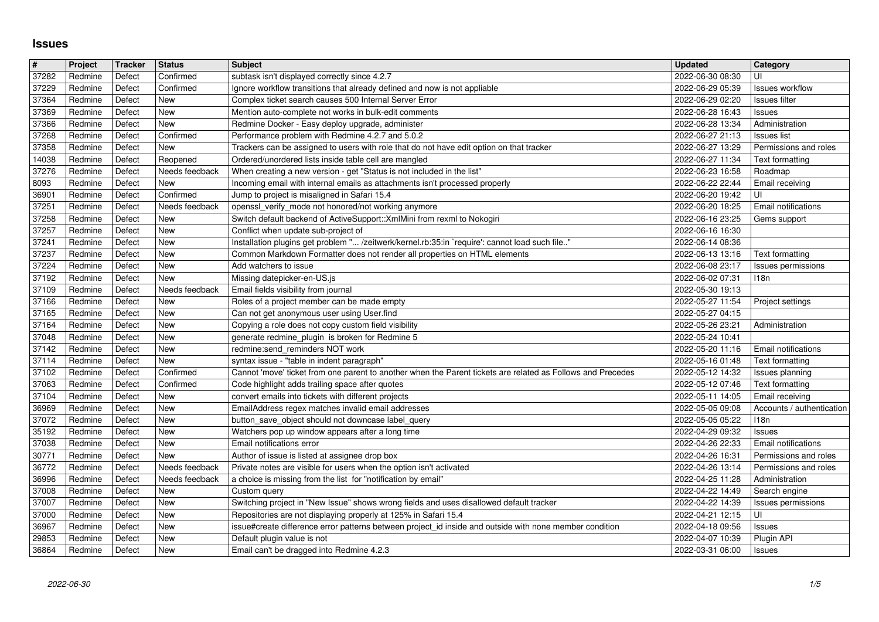## **Issues**

| $\pmb{\sharp}$ | Project            | <b>Tracker</b>   | <b>Status</b>              | <b>Subject</b>                                                                                                                                             | <b>Updated</b>                       | Category                             |
|----------------|--------------------|------------------|----------------------------|------------------------------------------------------------------------------------------------------------------------------------------------------------|--------------------------------------|--------------------------------------|
| 37282          | Redmine            | Defect           | Confirmed                  | subtask isn't displayed correctly since 4.2.7                                                                                                              | 2022-06-30 08:30                     | UI                                   |
| 37229          | Redmine            | Defect<br>Defect | Confirmed<br>New           | Ignore workflow transitions that already defined and now is not appliable                                                                                  | 2022-06-29 05:39                     | <b>Issues workflow</b>               |
| 37364<br>37369 | Redmine<br>Redmine | Defect           | New                        | Complex ticket search causes 500 Internal Server Error<br>Mention auto-complete not works in bulk-edit comments                                            | 2022-06-29 02:20<br>2022-06-28 16:43 | Issues filter<br>Issues              |
| 37366          | Redmine            | Defect           | New                        | Redmine Docker - Easy deploy upgrade, administer                                                                                                           | 2022-06-28 13:34                     | Administration                       |
| 37268          | Redmine            | Defect           | Confirmed                  | Performance problem with Redmine 4.2.7 and 5.0.2                                                                                                           | 2022-06-27 21:13                     | <b>Issues</b> list                   |
| 37358          | Redmine            | Defect           | New                        | Trackers can be assigned to users with role that do not have edit option on that tracker                                                                   | 2022-06-27 13:29                     | Permissions and roles                |
| 14038<br>37276 | Redmine<br>Redmine | Defect<br>Defect | Reopened<br>Needs feedback | Ordered/unordered lists inside table cell are mangled<br>When creating a new version - get "Status is not included in the list"                            | 2022-06-27 11:34<br>2022-06-23 16:58 | Text formatting<br>Roadmap           |
| 8093           | Redmine            | Defect           | New                        | Incoming email with internal emails as attachments isn't processed properly                                                                                | 2022-06-22 22:44                     | Email receiving                      |
| 36901          | Redmine            | Defect           | Confirmed                  | Jump to project is misaligned in Safari 15.4                                                                                                               | 2022-06-20 19:42                     | UI                                   |
| $\sqrt{37251}$ | Redmine            | Defect           | Needs feedback             | openssl_verify_mode not honored/not working anymore                                                                                                        | 2022-06-20 18:25                     | Email notifications                  |
| 37258          | Redmine            | Defect           | New                        | Switch default backend of ActiveSupport:: XmlMini from rexml to Nokogiri                                                                                   | 2022-06-16 23:25                     | Gems support                         |
| 37257<br>37241 | Redmine<br>Redmine | Defect<br>Defect | New<br>New                 | Conflict when update sub-project of<br>Installation plugins get problem " /zeitwerk/kernel.rb:35:in `require': cannot load such file"                      | 2022-06-16 16:30<br>2022-06-14 08:36 |                                      |
| 37237          | Redmine            | Defect           | New                        | Common Markdown Formatter does not render all properties on HTML elements                                                                                  | 2022-06-13 13:16                     | Text formatting                      |
| 37224          | Redmine            | Defect           | New                        | Add watchers to issue                                                                                                                                      | 2022-06-08 23:17                     | Issues permissions                   |
| 37192          | Redmine            | Defect           | New                        | Missing datepicker-en-US.js                                                                                                                                | 2022-06-02 07:31                     | 118n                                 |
| 37109          | Redmine            | Defect<br>Defect | Needs feedback<br>New      | Email fields visibility from journal                                                                                                                       | 2022-05-30 19:13                     |                                      |
| 37166<br>37165 | Redmine<br>Redmine | Defect           | New                        | Roles of a project member can be made empty<br>Can not get anonymous user using User.find                                                                  | 2022-05-27 11:54<br>2022-05-27 04:15 | Project settings                     |
| 37164          | Redmine            | Defect           | New                        | Copying a role does not copy custom field visibility                                                                                                       | 2022-05-26 23:21                     | Administration                       |
| 37048          | Redmine            | Defect           | New                        | generate redmine_plugin is broken for Redmine 5                                                                                                            | 2022-05-24 10:41                     |                                      |
| 37142          | Redmine            | Defect           | New                        | redmine:send_reminders NOT work                                                                                                                            | 2022-05-20 11:16                     | Email notifications                  |
| 37114<br>37102 | Redmine<br>Redmine | Defect<br>Defect | New<br>Confirmed           | syntax issue - "table in indent paragraph"<br>Cannot 'move' ticket from one parent to another when the Parent tickets are related as Follows and Precedes  | 2022-05-16 01:48<br>2022-05-12 14:32 | Text formatting<br>Issues planning   |
| 37063          | Redmine            | Defect           | Confirmed                  | Code highlight adds trailing space after quotes                                                                                                            | 2022-05-12 07:46                     | Text formatting                      |
| 37104          | Redmine            | Defect           | New                        | convert emails into tickets with different projects                                                                                                        | 2022-05-11 14:05                     | Email receiving                      |
| 36969          | Redmine            | Defect           | New                        | EmailAddress regex matches invalid email addresses                                                                                                         | 2022-05-05 09:08                     | Accounts / authentication            |
| 37072          | Redmine            | Defect           | New                        | button_save_object should not downcase label_query                                                                                                         | 2022-05-05 05:22                     | 118n                                 |
| 35192<br>37038 | Redmine<br>Redmine | Defect<br>Defect | New<br>New                 | Watchers pop up window appears after a long time<br>Email notifications error                                                                              | 2022-04-29 09:32<br>2022-04-26 22:33 | <b>Issues</b><br>Email notifications |
| 30771          | Redmine            | Defect           | New                        | Author of issue is listed at assignee drop box                                                                                                             | 2022-04-26 16:31                     | Permissions and roles                |
| 36772          | Redmine            | Defect           | Needs feedback             | Private notes are visible for users when the option isn't activated                                                                                        | 2022-04-26 13:14                     | Permissions and roles                |
| 36996          | Redmine            | Defect           | Needs feedback             | a choice is missing from the list for "notification by email"                                                                                              | 2022-04-25 11:28                     | Administration                       |
| 37008          | Redmine            | Defect           | New                        | Custom query                                                                                                                                               | 2022-04-22 14:49                     | Search engine                        |
| 37007<br>37000 | Redmine<br>Redmine | Defect<br>Defect | New<br>New                 | Switching project in "New Issue" shows wrong fields and uses disallowed default tracker<br>Repositories are not displaying properly at 125% in Safari 15.4 | 2022-04-22 14:39<br>2022-04-21 12:15 | Issues permissions<br>UI             |
| 36967          | Redmine            | Defect           | New                        | issue#create difference error patterns between project_id inside and outside with none member condition                                                    | 2022-04-18 09:56   Issues            |                                      |
| 29853          | Redmine            | Defect           | New                        | Default plugin value is not                                                                                                                                | 2022-04-07 10:39                     | Plugin API                           |
|                |                    |                  |                            |                                                                                                                                                            |                                      |                                      |
|                |                    |                  |                            |                                                                                                                                                            |                                      |                                      |
|                |                    |                  |                            |                                                                                                                                                            |                                      |                                      |
|                |                    |                  |                            |                                                                                                                                                            |                                      |                                      |
|                |                    |                  |                            |                                                                                                                                                            |                                      |                                      |
|                |                    |                  |                            |                                                                                                                                                            |                                      |                                      |
|                |                    |                  |                            |                                                                                                                                                            |                                      |                                      |
|                |                    |                  |                            |                                                                                                                                                            |                                      |                                      |
|                |                    |                  |                            |                                                                                                                                                            |                                      |                                      |
|                |                    |                  |                            |                                                                                                                                                            |                                      |                                      |
|                |                    |                  |                            |                                                                                                                                                            |                                      |                                      |
|                |                    |                  |                            |                                                                                                                                                            |                                      |                                      |
|                |                    |                  |                            |                                                                                                                                                            |                                      |                                      |
|                |                    |                  |                            |                                                                                                                                                            |                                      |                                      |
|                |                    |                  |                            |                                                                                                                                                            |                                      |                                      |
|                |                    |                  |                            |                                                                                                                                                            |                                      |                                      |
|                |                    |                  |                            |                                                                                                                                                            |                                      |                                      |
|                |                    |                  |                            |                                                                                                                                                            |                                      |                                      |
|                |                    |                  |                            |                                                                                                                                                            |                                      |                                      |
|                |                    |                  |                            |                                                                                                                                                            |                                      |                                      |
|                |                    |                  |                            |                                                                                                                                                            |                                      |                                      |
|                |                    |                  |                            |                                                                                                                                                            |                                      |                                      |
|                |                    |                  |                            |                                                                                                                                                            |                                      |                                      |
|                |                    |                  |                            |                                                                                                                                                            |                                      |                                      |
|                |                    |                  |                            |                                                                                                                                                            |                                      |                                      |
|                |                    |                  |                            |                                                                                                                                                            |                                      |                                      |
|                |                    |                  |                            |                                                                                                                                                            |                                      |                                      |
|                |                    |                  |                            |                                                                                                                                                            |                                      |                                      |
|                |                    |                  |                            |                                                                                                                                                            |                                      |                                      |
|                |                    |                  |                            |                                                                                                                                                            |                                      |                                      |
|                |                    |                  |                            |                                                                                                                                                            |                                      |                                      |
|                |                    |                  |                            |                                                                                                                                                            |                                      |                                      |
|                |                    |                  |                            |                                                                                                                                                            |                                      |                                      |
|                |                    |                  |                            |                                                                                                                                                            |                                      |                                      |
|                |                    |                  |                            |                                                                                                                                                            |                                      |                                      |
|                |                    |                  |                            |                                                                                                                                                            |                                      |                                      |
|                |                    |                  |                            |                                                                                                                                                            |                                      |                                      |
|                |                    |                  |                            |                                                                                                                                                            |                                      |                                      |
|                |                    |                  |                            |                                                                                                                                                            |                                      |                                      |
|                |                    |                  |                            |                                                                                                                                                            |                                      |                                      |
|                |                    |                  |                            |                                                                                                                                                            |                                      |                                      |
|                |                    |                  |                            |                                                                                                                                                            |                                      |                                      |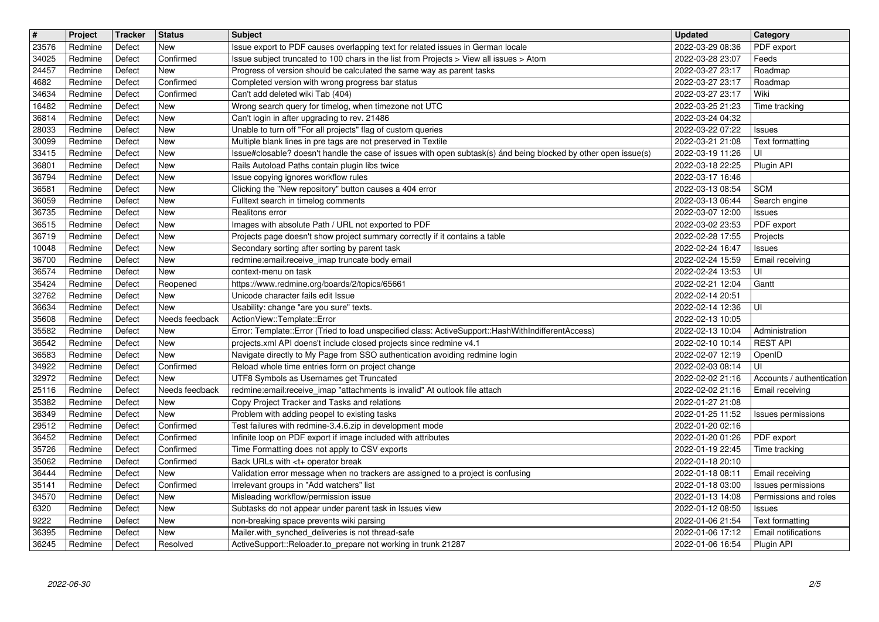| $\overline{\mathbf{t}}$ | Project            | Tracker          | <b>Status</b>            | <b>Subject</b>                                                                                                                                                             | <b>Updated</b>                       | Category                               |
|-------------------------|--------------------|------------------|--------------------------|----------------------------------------------------------------------------------------------------------------------------------------------------------------------------|--------------------------------------|----------------------------------------|
| 23576<br>34025          | Redmine<br>Redmine | Defect<br>Defect | New<br>Confirmed         | Issue export to PDF causes overlapping text for related issues in German locale<br>Issue subject truncated to 100 chars in the list from Projects > View all issues > Atom | 2022-03-29 08:36<br>2022-03-28 23:07 | PDF export<br>Feeds                    |
| 24457                   | Redmine            | Defect           | New                      | Progress of version should be calculated the same way as parent tasks                                                                                                      | 2022-03-27 23:17                     | Roadmap                                |
| 4682<br>34634           | Redmine<br>Redmine | Defect<br>Defect | Confirmed<br>Confirmed   | Completed version with wrong progress bar status<br>Can't add deleted wiki Tab (404)                                                                                       | 2022-03-27 23:17<br>2022-03-27 23:17 | Roadmap<br>Wiki                        |
| 16482                   | Redmine            | Defect           | <b>New</b>               | Wrong search query for timelog, when timezone not UTC                                                                                                                      | 2022-03-25 21:23                     | Time tracking                          |
| 36814<br>28033          | Redmine<br>Redmine | Defect<br>Defect | New<br><b>New</b>        | Can't login in after upgrading to rev. 21486<br>Unable to turn off "For all projects" flag of custom queries                                                               | 2022-03-24 04:32<br>2022-03-22 07:22 | <b>Issues</b>                          |
| 30099                   | Redmine            | Defect           | <b>New</b>               | Multiple blank lines in pre tags are not preserved in Textile                                                                                                              | 2022-03-21 21:08                     | Text formatting                        |
| 33415                   | Redmine            | Defect           | New                      | Issue#closable? doesn't handle the case of issues with open subtask(s) ánd being blocked by other open issue(s)                                                            | 2022-03-19 11:26                     | UI                                     |
| 36801<br>36794          | Redmine<br>Redmine | Defect<br>Defect | <b>New</b><br><b>New</b> | Rails Autoload Paths contain plugin libs twice<br>Issue copying ignores workflow rules                                                                                     | 2022-03-18 22:25<br>2022-03-17 16:46 | Plugin API                             |
| 36581                   | Redmine            | Defect           | <b>New</b>               | Clicking the "New repository" button causes a 404 error                                                                                                                    | 2022-03-13 08:54                     | <b>SCM</b>                             |
| 36059<br>36735          | Redmine<br>Redmine | Defect<br>Defect | <b>New</b><br><b>New</b> | Fulltext search in timelog comments<br>Realitons error                                                                                                                     | 2022-03-13 06:44<br>2022-03-07 12:00 | Search engine<br><b>Issues</b>         |
| 36515                   | Redmine            | Defect           | New                      | Images with absolute Path / URL not exported to PDF                                                                                                                        | 2022-03-02 23:53                     | PDF export                             |
| 36719                   | Redmine            | Defect           | New                      | Projects page doesn't show project summary correctly if it contains a table                                                                                                | 2022-02-28 17:55                     | Projects                               |
| 10048<br>36700          | Redmine<br>Redmine | Defect<br>Defect | <b>New</b><br><b>New</b> | Secondary sorting after sorting by parent task<br>redmine:email:receive_imap truncate body email                                                                           | 2022-02-24 16:47<br>2022-02-24 15:59 | <b>Issues</b><br>Email receiving       |
| 36574                   | Redmine            | Defect           | <b>New</b>               | context-menu on task                                                                                                                                                       | 2022-02-24 13:53                     | UI                                     |
| 35424<br>32762          | Redmine<br>Redmine | Defect<br>Defect | Reopened<br><b>New</b>   | https://www.redmine.org/boards/2/topics/65661<br>Unicode character fails edit Issue                                                                                        | 2022-02-21 12:04<br>2022-02-14 20:51 | Gantt                                  |
| 36634                   | Redmine            | Defect           | <b>New</b>               | Usability: change "are you sure" texts.                                                                                                                                    | 2022-02-14 12:36                     | UI                                     |
| 35608                   | Redmine            | Defect           | Needs feedback           | ActionView::Template::Error<br>Error: Template::Error (Tried to load unspecified class: ActiveSupport::HashWithIndifferentAccess)                                          | 2022-02-13 10:05                     |                                        |
| 35582<br>36542          | Redmine<br>Redmine | Defect<br>Defect | New<br>New               | projects.xml API doens't include closed projects since redmine v4.1                                                                                                        | 2022-02-13 10:04<br>2022-02-10 10:14 | Administration<br><b>REST API</b>      |
| 36583                   | Redmine            | Defect           | <b>New</b>               | Navigate directly to My Page from SSO authentication avoiding redmine login                                                                                                | 2022-02-07 12:19                     | OpenID                                 |
| 34922<br>32972          | Redmine<br>Redmine | Defect<br>Defect | Confirmed<br><b>New</b>  | Reload whole time entries form on project change<br>UTF8 Symbols as Usernames get Truncated                                                                                | 2022-02-03 08:14<br>2022-02-02 21:16 | UI<br>Accounts / authentication        |
| 25116                   | Redmine            | Defect           | Needs feedback           | redmine:email:receive_imap "attachments is invalid" At outlook file attach                                                                                                 | 2022-02-02 21:16                     | Email receiving                        |
| 35382                   | Redmine            | Defect           | <b>New</b>               | Copy Project Tracker and Tasks and relations                                                                                                                               | 2022-01-27 21:08                     |                                        |
| 36349<br>29512          | Redmine<br>Redmine | Defect<br>Defect | <b>New</b><br>Confirmed  | Problem with adding peopel to existing tasks<br>Test failures with redmine-3.4.6.zip in development mode                                                                   | 2022-01-25 11:52<br>2022-01-20 02:16 | Issues permissions                     |
| 36452                   | Redmine            | Defect           | Confirmed                | Infinite loop on PDF export if image included with attributes                                                                                                              | 2022-01-20 01:26                     | PDF export                             |
| 35726                   | Redmine            | Defect           | Confirmed                | Time Formatting does not apply to CSV exports                                                                                                                              | 2022-01-19 22:45                     | Time tracking                          |
| 35062<br>36444          | Redmine<br>Redmine | Defect<br>Defect | Confirmed<br>New         | Back URLs with <t+ break<br="" operator="">Validation error message when no trackers are assigned to a project is confusing</t+>                                           | 2022-01-18 20:10<br>2022-01-18 08:11 | Email receiving                        |
| 35141                   | Redmine            | Defect           | Confirmed                | Irrelevant groups in "Add watchers" list                                                                                                                                   | 2022-01-18 03:00                     | Issues permissions                     |
| 34570                   | Redmine            | Defect           | New                      | Misleading workflow/permission issue                                                                                                                                       |                                      | 2022-01-13 14:08 Permissions and roles |
| 6320<br>9222            | Redmine<br>Redmine | Defect<br>Defect | <b>New</b><br>New        | Subtasks do not appear under parent task in Issues view<br>non-breaking space prevents wiki parsing                                                                        | 2022-01-12 08:50<br>2022-01-06 21:54 | <b>Issues</b><br>Text formatting       |
| 36395                   | Redmine            | Defect           | New                      | Mailer.with_synched_deliveries is not thread-safe                                                                                                                          | 2022-01-06 17:12                     | Email notifications                    |
| 36245                   | Redmine            | Defect           | Resolved                 | ActiveSupport::Reloader.to_prepare not working in trunk 21287                                                                                                              | 2022-01-06 16:54                     | Plugin API                             |
|                         |                    |                  |                          |                                                                                                                                                                            |                                      |                                        |
|                         |                    |                  |                          |                                                                                                                                                                            |                                      |                                        |
|                         |                    |                  |                          |                                                                                                                                                                            |                                      |                                        |
|                         |                    |                  |                          |                                                                                                                                                                            |                                      |                                        |
|                         |                    |                  |                          |                                                                                                                                                                            |                                      |                                        |
|                         |                    |                  |                          |                                                                                                                                                                            |                                      |                                        |
|                         |                    |                  |                          |                                                                                                                                                                            |                                      |                                        |
|                         |                    |                  |                          |                                                                                                                                                                            |                                      |                                        |
|                         |                    |                  |                          |                                                                                                                                                                            |                                      |                                        |
|                         |                    |                  |                          |                                                                                                                                                                            |                                      |                                        |
|                         |                    |                  |                          |                                                                                                                                                                            |                                      |                                        |
|                         |                    |                  |                          |                                                                                                                                                                            |                                      |                                        |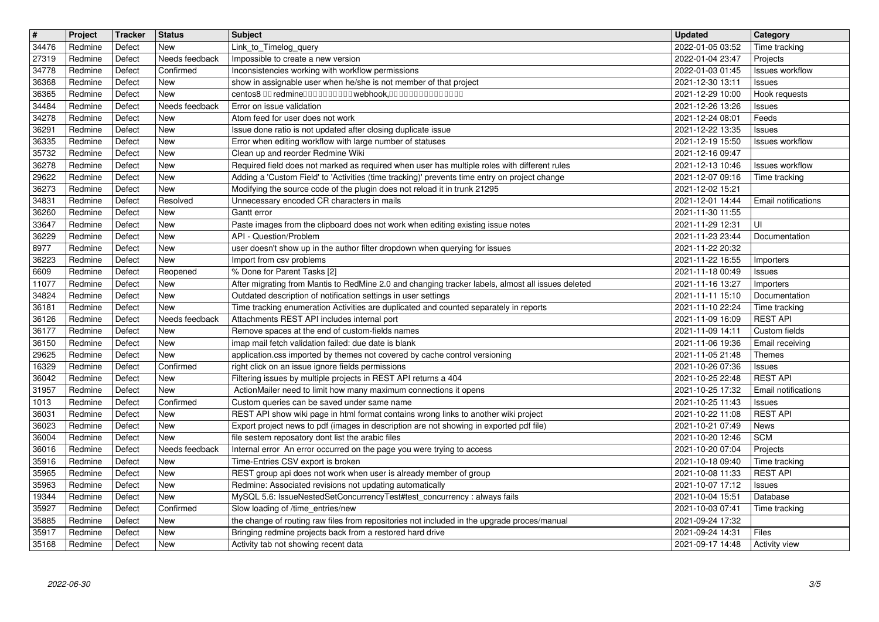| $\overline{\boldsymbol{H}}$ | Project            | Tracker          | <b>Status</b>         | <b>Subject</b>                                                                                                                                                                                | <b>Updated</b>                       | Category                                |
|-----------------------------|--------------------|------------------|-----------------------|-----------------------------------------------------------------------------------------------------------------------------------------------------------------------------------------------|--------------------------------------|-----------------------------------------|
| 34476<br>27319              | Redmine<br>Redmine | Defect<br>Defect | New<br>Needs feedback | Link_to_Timelog_query<br>Impossible to create a new version                                                                                                                                   | 2022-01-05 03:52<br>2022-01-04 23:47 | Time tracking<br>Projects               |
| 34778                       | Redmine            | Defect           | Confirmed             | Inconsistencies working with workflow permissions                                                                                                                                             | 2022-01-03 01:45                     | Issues workflow                         |
| 36368<br>36365              | Redmine<br>Redmine | Defect<br>Defect | New<br>New            | show in assignable user when he/she is not member of that project<br>centos8 00 redmine0000000000 webhook,000000000000000                                                                     | 2021-12-30 13:11<br>2021-12-29 10:00 | <b>Issues</b><br>Hook requests          |
| 34484                       | Redmine            | Defect           | Needs feedback        | Error on issue validation                                                                                                                                                                     | 2021-12-26 13:26                     | <b>Issues</b>                           |
| 34278<br>36291              | Redmine<br>Redmine | Defect<br>Defect | New<br>New            | Atom feed for user does not work<br>Issue done ratio is not updated after closing duplicate issue                                                                                             | 2021-12-24 08:01<br>2021-12-22 13:35 | Feeds<br><b>Issues</b>                  |
| 36335                       | Redmine            | Defect           | New                   | Error when editing workflow with large number of statuses                                                                                                                                     | 2021-12-19 15:50                     | <b>Issues workflow</b>                  |
| 35732                       | Redmine            | Defect<br>Defect | New<br>New            | Clean up and reorder Redmine Wiki                                                                                                                                                             | 2021-12-16 09:47                     |                                         |
| 36278<br>29622              | Redmine<br>Redmine | Defect           | <b>New</b>            | Required field does not marked as required when user has multiple roles with different rules<br>Adding a 'Custom Field' to 'Activities (time tracking)' prevents time entry on project change | 2021-12-13 10:46<br>2021-12-07 09:16 | <b>Issues workflow</b><br>Time tracking |
| 36273                       | Redmine            | Defect           | New                   | Modifying the source code of the plugin does not reload it in trunk 21295                                                                                                                     | 2021-12-02 15:21                     |                                         |
| 34831<br>36260              | Redmine<br>Redmine | Defect<br>Defect | Resolved<br>New       | Unnecessary encoded CR characters in mails<br>Gantt error                                                                                                                                     | 2021-12-01 14:44<br>2021-11-30 11:55 | Email notifications                     |
| 33647                       | Redmine            | Defect           | New                   | Paste images from the clipboard does not work when editing existing issue notes                                                                                                               | 2021-11-29 12:31                     | UI                                      |
| 36229<br>8977               | Redmine<br>Redmine | Defect<br>Defect | New<br>New            | API - Question/Problem<br>user doesn't show up in the author filter dropdown when querying for issues                                                                                         | 2021-11-23 23:44<br>2021-11-22 20:32 | Documentation                           |
| 36223                       | Redmine            | Defect           | New                   | Import from csv problems                                                                                                                                                                      | 2021-11-22 16:55                     | Importers                               |
| 6609                        | Redmine            | Defect           | Reopened              | % Done for Parent Tasks [2]                                                                                                                                                                   | 2021-11-18 00:49                     | <b>Issues</b>                           |
| 11077<br>34824              | Redmine<br>Redmine | Defect<br>Defect | New<br>New            | After migrating from Mantis to RedMine 2.0 and changing tracker labels, almost all issues deleted<br>Outdated description of notification settings in user settings                           | 2021-11-16 13:27<br>2021-11-11 15:10 | Importers<br>Documentation              |
| 36181                       | Redmine            | Defect           | New                   | Time tracking enumeration Activities are duplicated and counted separately in reports                                                                                                         | 2021-11-10 22:24                     | Time tracking                           |
| 36126<br>36177              | Redmine<br>Redmine | Defect<br>Defect | Needs feedback<br>New | Attachments REST API includes internal port<br>Remove spaces at the end of custom-fields names                                                                                                | 2021-11-09 16:09<br>2021-11-09 14:11 | <b>REST API</b><br>Custom fields        |
| 36150                       | Redmine            | Defect           | <b>New</b>            | imap mail fetch validation failed: due date is blank                                                                                                                                          | 2021-11-06 19:36                     | Email receiving                         |
| 29625<br>16329              | Redmine<br>Redmine | Defect<br>Defect | New<br>Confirmed      | application.css imported by themes not covered by cache control versioning<br>right click on an issue ignore fields permissions                                                               | 2021-11-05 21:48<br>2021-10-26 07:36 | Themes<br>Issues                        |
| 36042                       | Redmine            | Defect           | New                   | Filtering issues by multiple projects in REST API returns a 404                                                                                                                               | 2021-10-25 22:48                     | <b>REST API</b>                         |
| 31957                       | Redmine            | Defect           | New                   | ActionMailer need to limit how many maximum connections it opens                                                                                                                              | 2021-10-25 17:32                     | Email notifications                     |
| 1013<br>36031               | Redmine<br>Redmine | Defect<br>Defect | Confirmed<br>New      | Custom queries can be saved under same name<br>REST API show wiki page in html format contains wrong links to another wiki project                                                            | 2021-10-25 11:43<br>2021-10-22 11:08 | Issues<br><b>REST API</b>               |
| 36023                       | Redmine            | Defect           | New                   | Export project news to pdf (images in description are not showing in exported pdf file)                                                                                                       | 2021-10-21 07:49                     | News                                    |
| 36004<br>36016              | Redmine<br>Redmine | Defect<br>Defect | New<br>Needs feedback | file sestem reposatory dont list the arabic files<br>Internal error An error occurred on the page you were trying to access                                                                   | 2021-10-20 12:46<br>2021-10-20 07:04 | <b>SCM</b><br>Projects                  |
| 35916                       | Redmine            | Defect           | New                   | Time-Entries CSV export is broken                                                                                                                                                             | 2021-10-18 09:40                     | Time tracking                           |
| 35965                       | Redmine            | Defect           | New                   | REST group api does not work when user is already member of group                                                                                                                             | 2021-10-08 11:33                     | <b>REST API</b>                         |
| 35963<br>19344              | Redmine<br>Redmine | Defect<br>Defect | New<br>New            | Redmine: Associated revisions not updating automatically<br>MySQL 5.6: IssueNestedSetConcurrencyTest#test_concurrency : always fails                                                          | 2021-10-07 17:12<br>2021-10-04 15:51 | <b>Issues</b><br>Database               |
| 35927                       | Redmine            | Defect           | Confirmed             | Slow loading of /time_entries/new                                                                                                                                                             | 2021-10-03 07:41                     | Time tracking                           |
| 35885<br>35917              | Redmine<br>Redmine | Defect<br>Defect | New<br>New            | the change of routing raw files from repositories not included in the upgrade proces/manual<br>Bringing redmine projects back from a restored hard drive                                      | 2021-09-24 17:32<br>2021-09-24 14:31 | Files                                   |
| 35168                       | Redmine            | Defect           | New                   | Activity tab not showing recent data                                                                                                                                                          | 2021-09-17 14:48                     | Activity view                           |
|                             |                    |                  |                       |                                                                                                                                                                                               |                                      |                                         |
|                             |                    |                  |                       |                                                                                                                                                                                               |                                      |                                         |
|                             |                    |                  |                       |                                                                                                                                                                                               |                                      |                                         |
|                             |                    |                  |                       |                                                                                                                                                                                               |                                      |                                         |
|                             |                    |                  |                       |                                                                                                                                                                                               |                                      |                                         |
|                             |                    |                  |                       |                                                                                                                                                                                               |                                      |                                         |
|                             |                    |                  |                       |                                                                                                                                                                                               |                                      |                                         |
|                             |                    |                  |                       |                                                                                                                                                                                               |                                      |                                         |
|                             |                    |                  |                       |                                                                                                                                                                                               |                                      |                                         |
|                             |                    |                  |                       |                                                                                                                                                                                               |                                      |                                         |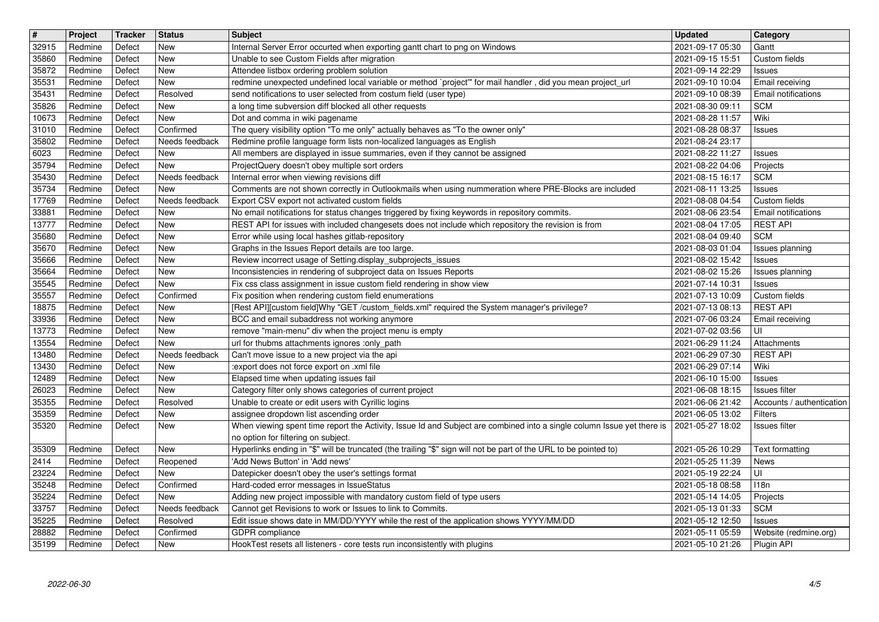| $\overline{\mathbf{H}}$ | Project            | Tracker          | <b>Status</b>         | <b>Subject</b>                                                                                                                                                                                       | <b>Updated</b>                       | Category                                          |
|-------------------------|--------------------|------------------|-----------------------|------------------------------------------------------------------------------------------------------------------------------------------------------------------------------------------------------|--------------------------------------|---------------------------------------------------|
| 32915<br>35860          | Redmine<br>Redmine | Defect<br>Defect | New<br>New            | Internal Server Error occurted when exporting gantt chart to png on Windows<br>Unable to see Custom Fields after migration                                                                           | 2021-09-17 05:30<br>2021-09-15 15:51 | Gantt<br>Custom fields                            |
| 35872<br>35531          | Redmine<br>Redmine | Defect<br>Defect | New<br>New            | Attendee listbox ordering problem solution<br>redmine unexpected undefined local variable or method `project" for mail handler, did you mean project_url                                             | 2021-09-14 22:29<br>2021-09-10 10:04 | Issues<br>Email receiving                         |
| 35431                   | Redmine            | Defect           | Resolved              | send notifications to user selected from costum field (user type)                                                                                                                                    | 2021-09-10 08:39                     | <b>Email notifications</b>                        |
| 35826<br>10673          | Redmine<br>Redmine | Defect<br>Defect | New<br>New            | a long time subversion diff blocked all other requests<br>Dot and comma in wiki pagename                                                                                                             | 2021-08-30 09:11<br>2021-08-28 11:57 | <b>SCM</b><br>Wiki                                |
| 31010                   | Redmine            | Defect           | Confirmed             | The query visibility option "To me only" actually behaves as "To the owner only"                                                                                                                     | 2021-08-28 08:37                     | <b>Issues</b>                                     |
| 35802<br>6023           | Redmine<br>Redmine | Defect<br>Defect | Needs feedback<br>New | Redmine profile language form lists non-localized languages as English<br>All members are displayed in issue summaries, even if they cannot be assigned                                              | 2021-08-24 23:17<br>2021-08-22 11:27 | <b>Issues</b>                                     |
| 35794                   | Redmine            | Defect           | New                   | ProjectQuery doesn't obey multiple sort orders                                                                                                                                                       | 2021-08-22 04:06                     | Projects                                          |
| 35430<br>35734          | Redmine<br>Redmine | Defect<br>Defect | Needs feedback<br>New | Internal error when viewing revisions diff<br>Comments are not shown correctly in Outlookmails when using nummeration where PRE-Blocks are included                                                  | 2021-08-15 16:17<br>2021-08-11 13:25 | <b>SCM</b><br><b>Issues</b>                       |
| 17769                   | Redmine            | Defect           | Needs feedback        | Export CSV export not activated custom fields                                                                                                                                                        | 2021-08-08 04:54                     | Custom fields                                     |
| 33881<br>13777          | Redmine<br>Redmine | Defect<br>Defect | <b>New</b><br>New     | No email notifications for status changes triggered by fixing keywords in repository commits.<br>REST API for issues with included changesets does not include which repository the revision is from | 2021-08-06 23:54<br>2021-08-04 17:05 | Email notifications<br><b>REST API</b>            |
| 35680                   | Redmine            | Defect           | New                   | Error while using local hashes gitlab-repository                                                                                                                                                     | 2021-08-04 09:40                     | <b>SCM</b>                                        |
| 35670<br>35666          | Redmine<br>Redmine | Defect<br>Defect | New<br>New            | Graphs in the Issues Report details are too large.<br>Review incorrect usage of Setting.display_subprojects_issues                                                                                   | 2021-08-03 01:04<br>2021-08-02 15:42 | Issues planning<br><b>Issues</b>                  |
| 35664                   | Redmine            | Defect           | New                   | Inconsistencies in rendering of subproject data on Issues Reports                                                                                                                                    | 2021-08-02 15:26                     | Issues planning                                   |
| 35545<br>35557          | Redmine<br>Redmine | Defect<br>Defect | New<br>Confirmed      | Fix css class assignment in issue custom field rendering in show view<br>Fix position when rendering custom field enumerations                                                                       | 2021-07-14 10:31<br>2021-07-13 10:09 | <b>Issues</b><br>Custom fields                    |
| 18875                   | Redmine            | Defect           | New                   | [Rest API][custom field]Why "GET /custom_fields.xml" required the System manager's privilege?                                                                                                        | 2021-07-13 08:13                     | <b>REST API</b>                                   |
| 33936<br>13773          | Redmine<br>Redmine | Defect<br>Defect | New<br>New            | BCC and email subaddress not working anymore<br>remove "main-menu" div when the project menu is empty                                                                                                | 2021-07-06 03:24<br>2021-07-02 03:56 | Email receiving<br>UI                             |
| 13554                   | Redmine            | Defect           | New                   | url for thubms attachments ignores :only_path                                                                                                                                                        | 2021-06-29 11:24                     | Attachments                                       |
| 13480<br>13430          | Redmine<br>Redmine | Defect<br>Defect | Needs feedback<br>New | Can't move issue to a new project via the api<br>:export does not force export on .xml file                                                                                                          | 2021-06-29 07:30<br>2021-06-29 07:14 | <b>REST API</b><br>Wiki                           |
| 12489                   | Redmine            | Defect           | New                   | Elapsed time when updating issues fail                                                                                                                                                               | 2021-06-10 15:00                     | <b>Issues</b>                                     |
| 26023<br>35355          | Redmine<br>Redmine | Defect<br>Defect | New<br>Resolved       | Category filter only shows categories of current project<br>Unable to create or edit users with Cyrillic logins                                                                                      | 2021-06-08 18:15<br>2021-06-06 21:42 | <b>Issues</b> filter<br>Accounts / authentication |
| 35359                   | Redmine            | Defect           | New                   | assignee dropdown list ascending order                                                                                                                                                               | 2021-06-05 13:02                     | <b>Filters</b>                                    |
| 35320                   | Redmine            | Defect           | New                   | When viewing spent time report the Activity, Issue Id and Subject are combined into a single column Issue yet there is<br>no option for filtering on subject.                                        | 2021-05-27 18:02                     | Issues filter                                     |
| 35309                   | Redmine            | Defect           | New                   | Hyperlinks ending in "\$" will be truncated (the trailing "\$" sign will not be part of the URL to be pointed to)                                                                                    | 2021-05-26 10:29                     | Text formatting                                   |
| 2414<br>23224           | Redmine<br>Redmine | Defect<br>Defect | Reopened<br>New       | 'Add News Button' in 'Add news'<br>Datepicker doesn't obey the user's settings format                                                                                                                | 2021-05-25 11:39<br>2021-05-19 22:24 | News<br>UI                                        |
| 35248                   | Redmine            | Defect           | Confirmed             | Hard-coded error messages in IssueStatus                                                                                                                                                             | 2021-05-18 08:58                     | 118n                                              |
| 35224<br>33757          | Redmine<br>Redmine | Defect<br>Defect | New<br>Needs feedback | Adding new project impossible with mandatory custom field of type users<br>Cannot get Revisions to work or Issues to link to Commits.                                                                | 2021-05-14 14:05<br>2021-05-13 01:33 | Projects<br><b>SCM</b>                            |
| 35225                   | Redmine            | Defect           | Resolved              | Edit issue shows date in MM/DD/YYYY while the rest of the application shows YYYY/MM/DD                                                                                                               | 2021-05-12 12:50                     | <b>Issues</b>                                     |
| 28882<br>35199          | Redmine<br>Redmine | Defect<br>Defect | Confirmed<br>New      | GDPR compliance<br>HookTest resets all listeners - core tests run inconsistently with plugins                                                                                                        | 2021-05-11 05:59<br>2021-05-10 21:26 | Website (redmine.org)<br>Plugin API               |
|                         |                    |                  |                       |                                                                                                                                                                                                      |                                      |                                                   |
|                         |                    |                  |                       |                                                                                                                                                                                                      |                                      |                                                   |
|                         |                    |                  |                       |                                                                                                                                                                                                      |                                      |                                                   |
|                         |                    |                  |                       |                                                                                                                                                                                                      |                                      |                                                   |
|                         |                    |                  |                       |                                                                                                                                                                                                      |                                      |                                                   |
|                         |                    |                  |                       |                                                                                                                                                                                                      |                                      |                                                   |
|                         |                    |                  |                       |                                                                                                                                                                                                      |                                      |                                                   |
|                         |                    |                  |                       |                                                                                                                                                                                                      |                                      |                                                   |
|                         |                    |                  |                       |                                                                                                                                                                                                      |                                      |                                                   |
|                         |                    |                  |                       |                                                                                                                                                                                                      |                                      |                                                   |
|                         |                    |                  |                       |                                                                                                                                                                                                      |                                      |                                                   |
|                         |                    |                  |                       |                                                                                                                                                                                                      |                                      |                                                   |
|                         |                    |                  |                       |                                                                                                                                                                                                      |                                      |                                                   |
|                         |                    |                  |                       |                                                                                                                                                                                                      |                                      |                                                   |
|                         |                    |                  |                       |                                                                                                                                                                                                      |                                      |                                                   |
|                         |                    |                  |                       |                                                                                                                                                                                                      |                                      |                                                   |
|                         |                    |                  |                       |                                                                                                                                                                                                      |                                      |                                                   |
|                         |                    |                  |                       |                                                                                                                                                                                                      |                                      |                                                   |
|                         |                    |                  |                       |                                                                                                                                                                                                      |                                      |                                                   |
|                         |                    |                  |                       |                                                                                                                                                                                                      |                                      |                                                   |
|                         |                    |                  |                       |                                                                                                                                                                                                      |                                      |                                                   |
|                         |                    |                  |                       |                                                                                                                                                                                                      |                                      |                                                   |
|                         |                    |                  |                       |                                                                                                                                                                                                      |                                      |                                                   |
|                         |                    |                  |                       |                                                                                                                                                                                                      |                                      |                                                   |
|                         |                    |                  |                       |                                                                                                                                                                                                      |                                      |                                                   |
|                         |                    |                  |                       |                                                                                                                                                                                                      |                                      |                                                   |
|                         |                    |                  |                       |                                                                                                                                                                                                      |                                      |                                                   |
|                         |                    |                  |                       |                                                                                                                                                                                                      |                                      |                                                   |
|                         |                    |                  |                       |                                                                                                                                                                                                      |                                      |                                                   |
|                         |                    |                  |                       |                                                                                                                                                                                                      |                                      |                                                   |
|                         |                    |                  |                       |                                                                                                                                                                                                      |                                      |                                                   |
|                         |                    |                  |                       |                                                                                                                                                                                                      |                                      |                                                   |
|                         |                    |                  |                       |                                                                                                                                                                                                      |                                      |                                                   |
|                         |                    |                  |                       |                                                                                                                                                                                                      |                                      |                                                   |
|                         |                    |                  |                       |                                                                                                                                                                                                      |                                      |                                                   |